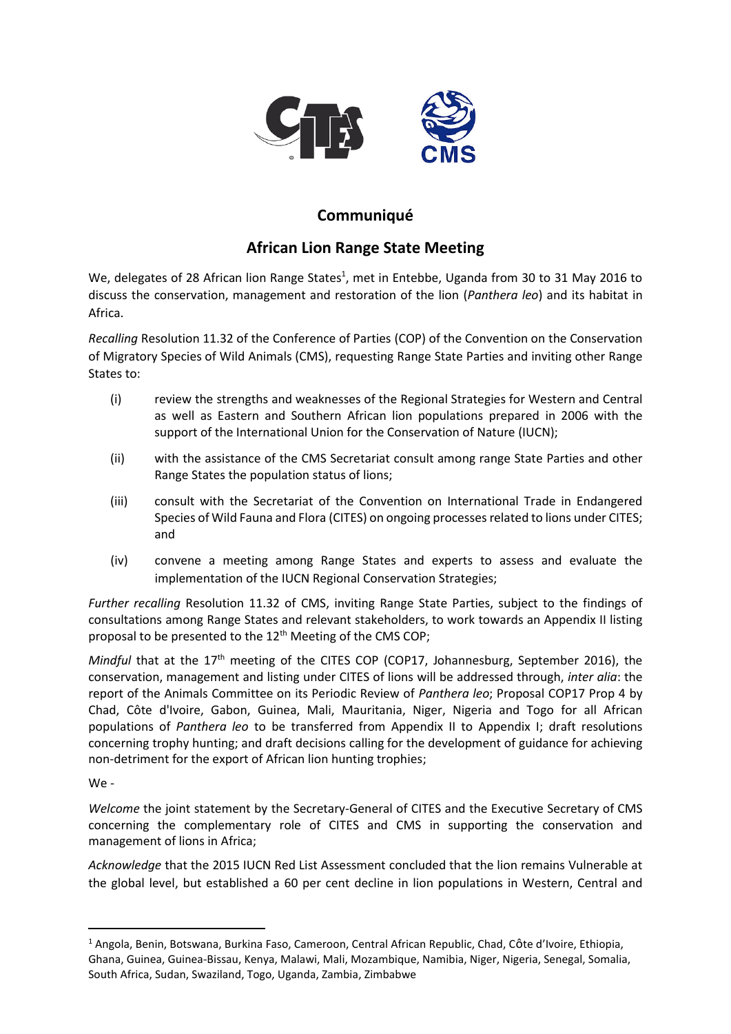

## **Communiqué**

## **African Lion Range State Meeting**

We, delegates of 28 African lion Range States<sup>1</sup>, met in Entebbe, Uganda from 30 to 31 May 2016 to discuss the conservation, management and restoration of the lion (*Panthera leo*) and its habitat in Africa.

*Recalling* Resolution 11.32 of the Conference of Parties (COP) of the Convention on the Conservation of Migratory Species of Wild Animals (CMS), requesting Range State Parties and inviting other Range States to:

- (i) review the strengths and weaknesses of the Regional Strategies for Western and Central as well as Eastern and Southern African lion populations prepared in 2006 with the support of the International Union for the Conservation of Nature (IUCN);
- (ii) with the assistance of the CMS Secretariat consult among range State Parties and other Range States the population status of lions;
- (iii) consult with the Secretariat of the Convention on International Trade in Endangered Species of Wild Fauna and Flora (CITES) on ongoing processes related to lions under CITES; and
- (iv) convene a meeting among Range States and experts to assess and evaluate the implementation of the IUCN Regional Conservation Strategies;

*Further recalling* Resolution 11.32 of CMS, inviting Range State Parties, subject to the findings of consultations among Range States and relevant stakeholders, to work towards an Appendix II listing proposal to be presented to the 12<sup>th</sup> Meeting of the CMS COP;

*Mindful* that at the 17<sup>th</sup> meeting of the CITES COP (COP17, Johannesburg, September 2016), the conservation, management and listing under CITES of lions will be addressed through, *inter alia*: the report of the Animals Committee on its Periodic Review of *Panthera leo*; Proposal COP17 Prop 4 by Chad, Côte d'Ivoire, Gabon, Guinea, Mali, Mauritania, Niger, Nigeria and Togo for all African populations of *Panthera leo* to be transferred from Appendix II to Appendix I; draft resolutions concerning trophy hunting; and draft decisions calling for the development of guidance for achieving non-detriment for the export of African lion hunting trophies;

We -

**.** 

*Welcome* the joint statement by the Secretary-General of CITES and the Executive Secretary of CMS concerning the complementary role of CITES and CMS in supporting the conservation and management of lions in Africa;

*Acknowledge* that the 2015 IUCN Red List Assessment concluded that the lion remains Vulnerable at the global level, but established a 60 per cent decline in lion populations in Western, Central and

<sup>1</sup> Angola, Benin, Botswana, Burkina Faso, Cameroon, Central African Republic, Chad, Côte d'Ivoire, Ethiopia, Ghana, Guinea, Guinea-Bissau, Kenya, Malawi, Mali, Mozambique, Namibia, Niger, Nigeria, Senegal, Somalia, South Africa, Sudan, Swaziland, Togo, Uganda, Zambia, Zimbabwe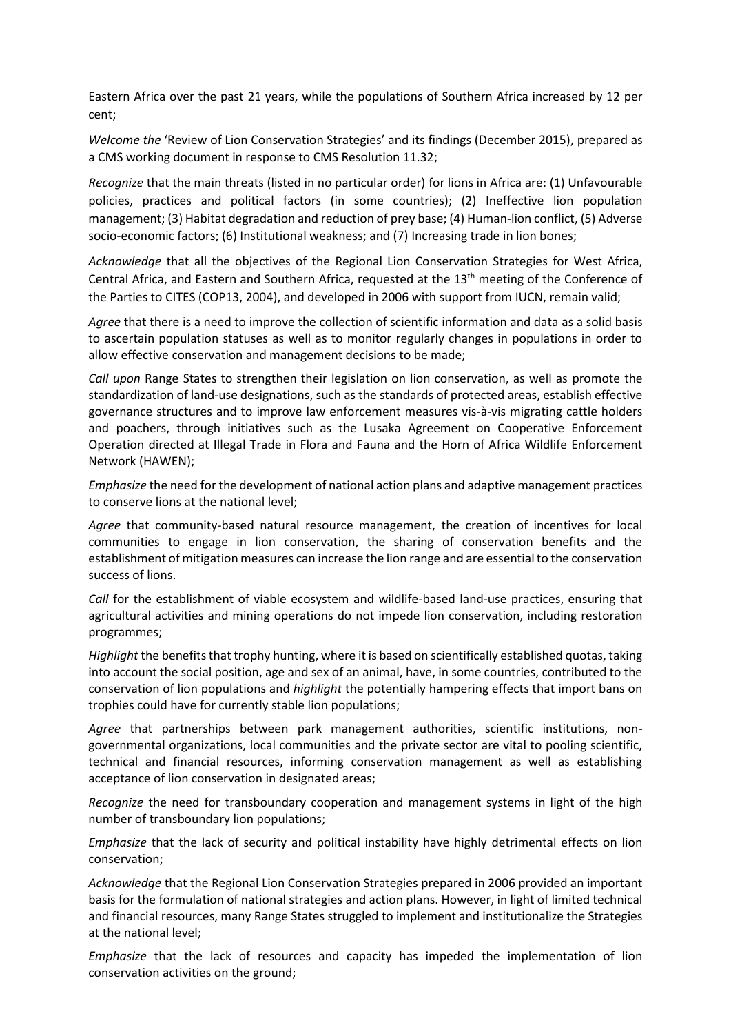Eastern Africa over the past 21 years, while the populations of Southern Africa increased by 12 per cent;

*Welcome the* 'Review of Lion Conservation Strategies' and its findings (December 2015), prepared as a CMS working document in response to CMS Resolution 11.32;

*Recognize* that the main threats (listed in no particular order) for lions in Africa are: (1) Unfavourable policies, practices and political factors (in some countries); (2) Ineffective lion population management; (3) Habitat degradation and reduction of prey base; (4) Human-lion conflict, (5) Adverse socio-economic factors; (6) Institutional weakness; and (7) Increasing trade in lion bones;

*Acknowledge* that all the objectives of the Regional Lion Conservation Strategies for West Africa, Central Africa, and Eastern and Southern Africa, requested at the 13<sup>th</sup> meeting of the Conference of the Parties to CITES (COP13, 2004), and developed in 2006 with support from IUCN, remain valid;

*Agree* that there is a need to improve the collection of scientific information and data as a solid basis to ascertain population statuses as well as to monitor regularly changes in populations in order to allow effective conservation and management decisions to be made;

*Call upon* Range States to strengthen their legislation on lion conservation, as well as promote the standardization of land-use designations, such as the standards of protected areas, establish effective governance structures and to improve law enforcement measures vis-à-vis migrating cattle holders and poachers, through initiatives such as the Lusaka Agreement on Cooperative Enforcement Operation directed at Illegal Trade in Flora and Fauna and the Horn of Africa Wildlife Enforcement Network (HAWEN);

*Emphasize* the need for the development of national action plans and adaptive management practices to conserve lions at the national level;

*Agree* that community-based natural resource management, the creation of incentives for local communities to engage in lion conservation, the sharing of conservation benefits and the establishment of mitigation measures can increase the lion range and are essential to the conservation success of lions.

*Call* for the establishment of viable ecosystem and wildlife-based land-use practices, ensuring that agricultural activities and mining operations do not impede lion conservation, including restoration programmes;

*Highlight* the benefits that trophy hunting, where it is based on scientifically established quotas, taking into account the social position, age and sex of an animal, have, in some countries, contributed to the conservation of lion populations and *highlight* the potentially hampering effects that import bans on trophies could have for currently stable lion populations;

*Agree* that partnerships between park management authorities, scientific institutions, nongovernmental organizations, local communities and the private sector are vital to pooling scientific, technical and financial resources, informing conservation management as well as establishing acceptance of lion conservation in designated areas;

*Recognize* the need for transboundary cooperation and management systems in light of the high number of transboundary lion populations;

*Emphasize* that the lack of security and political instability have highly detrimental effects on lion conservation;

*Acknowledge* that the Regional Lion Conservation Strategies prepared in 2006 provided an important basis for the formulation of national strategies and action plans. However, in light of limited technical and financial resources, many Range States struggled to implement and institutionalize the Strategies at the national level;

*Emphasize* that the lack of resources and capacity has impeded the implementation of lion conservation activities on the ground;